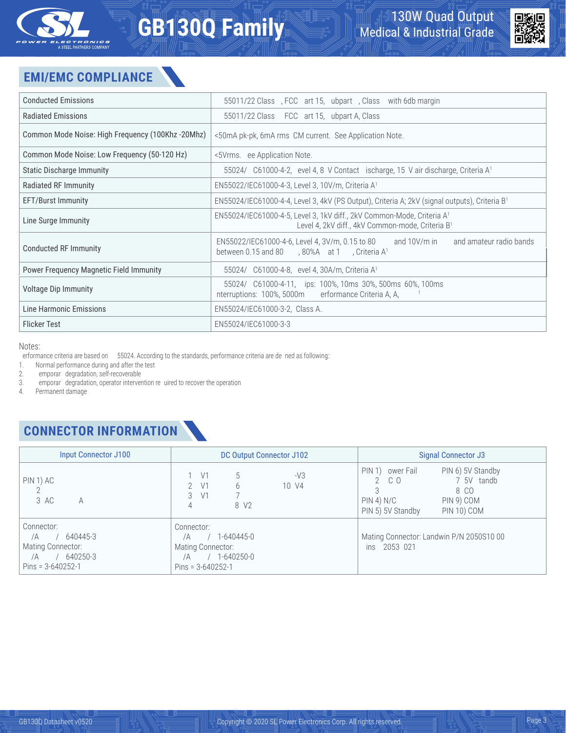

# **GB130Q Family**



## **EMI/EMC COMPLIANCE**

| <b>Conducted Emissions</b>                        | EN55011/22 Class B, FCC Part 15, Subpart B, Class B with 6db margin                                                                                            |  |
|---------------------------------------------------|----------------------------------------------------------------------------------------------------------------------------------------------------------------|--|
| <b>Radiated Emissions</b>                         | EN55011/22 Class B; FCC Part 15, Subpart A, Class B                                                                                                            |  |
| Common Mode Noise: High Freguency (100Khz -20Mhz) | <50mA pk-pk, 6mA rms CM current. See Application Note.                                                                                                         |  |
| Common Mode Noise: Low Frequency (50-120 Hz)      | <5Vrms. See Application Note.                                                                                                                                  |  |
| <b>Static Discharge Immunity</b>                  | EN55024/IEC61000-4-2, Level 4, 8kV Contact Discharge, 15kV air discharge, Criteria A <sup>1</sup>                                                              |  |
| Radiated RF Immunity                              | EN55022/IEC61000-4-3, Level 3, 10V/m, Criteria A <sup>1</sup>                                                                                                  |  |
| <b>EFT/Burst Immunity</b>                         | EN55024/IEC61000-4-4, Level 3, 4kV (PS Output), Criteria A; 2kV (signal outputs), Criteria B <sup>1</sup>                                                      |  |
| Line Surge Immunity                               | EN55024/IEC61000-4-5, Level 3, 1kV diff., 2kV Common-Mode, Criteria A <sup>1</sup><br>Level 4, 2kV diff., 4kV Common-mode, Criteria B <sup>1</sup>             |  |
| <b>Conducted RF Immunity</b>                      | EN55022/IEC61000-4-6, Level 4, 3V/m, 0.15 to 80MHz; and 10V/m in ISM and amateur radio bands<br>between 0.15 and 80MHz, 80%AM at 1kHz, Criteria A <sup>1</sup> |  |
| <b>Power Frequency Magnetic Field Immunity</b>    | EN55024/IEC61000-4-8, Level 4, 30A/m, Criteria A <sup>1</sup>                                                                                                  |  |
| <b>Voltage Dip Immunity</b>                       | EN55024/IEC61000-4-11, Dips: 100%, 10ms; 30%, 500ms; 60%, 100ms;<br>Interruptions: 100%, 5000mS; Performance Criteria A, A, B & B <sup>1</sup>                 |  |
| Line Harmonic Emissions                           | EN55024/IEC61000-3-2, Class A.                                                                                                                                 |  |
| <b>Flicker Test</b>                               | EN55024/IEC61000-3-3                                                                                                                                           |  |

Notes:

Performance criteria are based on EN55024. According to the standards, performance criteria are de d as following:

1. Normal performance during and after the test

2. Temporary degradation, self-recoverable<br>3. Temporary degradation, operator interver

3. Temporary degradation, operator intervention required to recover the operation

Permanent damage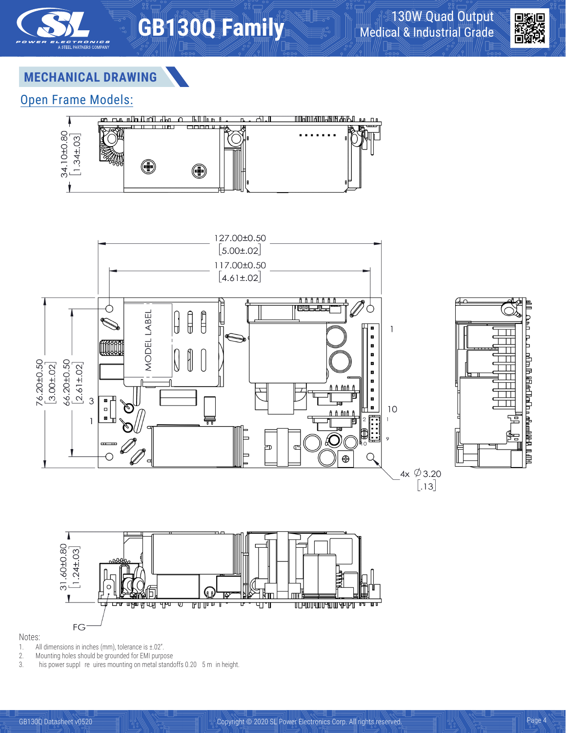



#### **MECHANICAL DRAWING**

#### Open Frame Models:









#### Notes:

- 1. All dimensions in inches (mm), tolerance is ±.02".
- 2. Mounting holes should be grounded for EMI purpose<br>3. This power supply requires mounting on metal stand
- This power supply requires mounting on metal standoffs 0.20" (5 m) in height.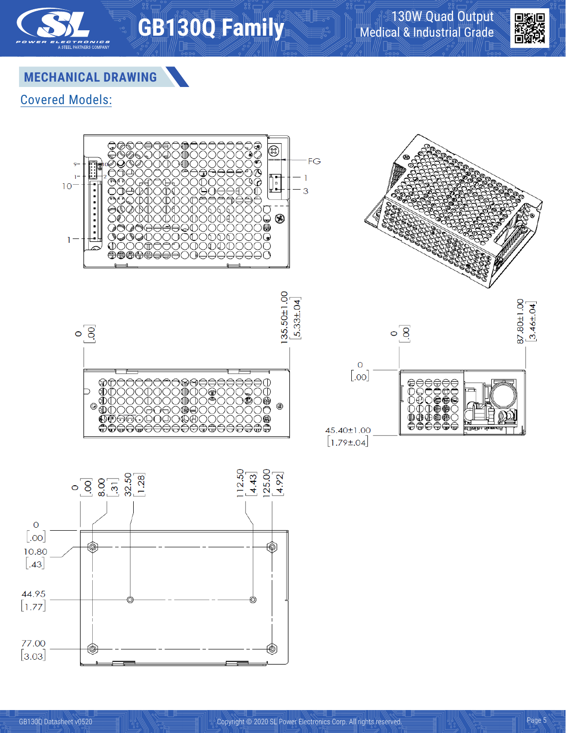



### **MECHANICAL DRAWING**

#### Covered Models:



**GB130Q Family**